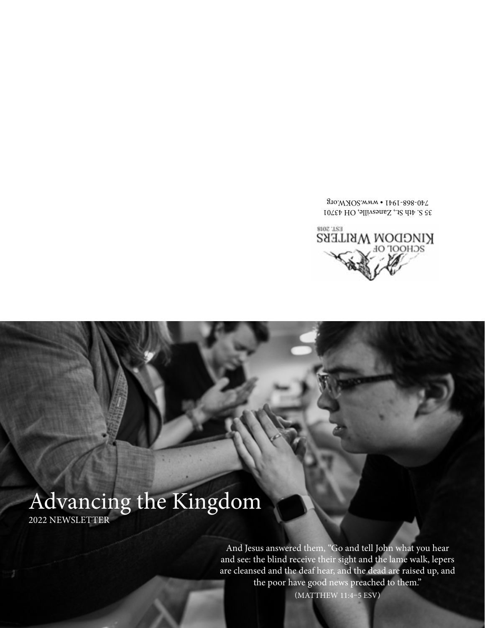(MATTHEW 11:4–5 ESV)

And Jesus answered them, "Go and tell John what you hear and see: the blind receive their sight and the lame walk, lepers are cleansed and the deaf hear, and the dead are raised up, and the poor have good news preached to them."

### Advancing the Kingdom 2022 NEWSLETTER



 $35$  S. 4th St., Zanesville, OH 43701 740-868-1941 • www.SOKW.org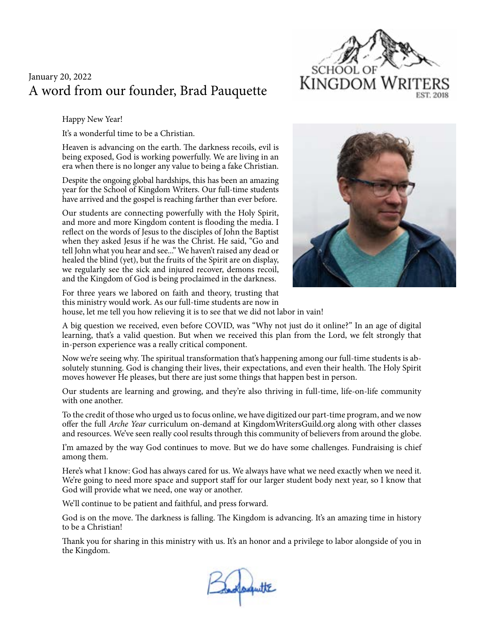#### A word from our founder, Brad Pauquette January 20, 2022

Happy New Year!

It's a wonderful time to be a Christian.

Heaven is advancing on the earth. The darkness recoils, evil is being exposed, God is working powerfully. We are living in an era when there is no longer any value to being a fake Christian.

Despite the ongoing global hardships, this has been an amazing year for the School of Kingdom Writers. Our full-time students have arrived and the gospel is reaching farther than ever before.

Our students are connecting powerfully with the Holy Spirit, and more and more Kingdom content is flooding the media. I reflect on the words of Jesus to the disciples of John the Baptist when they asked Jesus if he was the Christ. He said, "Go and tell John what you hear and see..." We haven't raised any dead or healed the blind (yet), but the fruits of the Spirit are on display, we regularly see the sick and injured recover, demons recoil, and the Kingdom of God is being proclaimed in the darkness.





For three years we labored on faith and theory, trusting that this ministry would work. As our full-time students are now in house, let me tell you how relieving it is to see that we did not labor in vain!

A big question we received, even before COVID, was "Why not just do it online?" In an age of digital learning, that's a valid question. But when we received this plan from the Lord, we felt strongly that in-person experience was a really critical component.

Now we're seeing why. The spiritual transformation that's happening among our full-time students is absolutely stunning. God is changing their lives, their expectations, and even their health. The Holy Spirit moves however He pleases, but there are just some things that happen best in person.

Our students are learning and growing, and they're also thriving in full-time, life-on-life community with one another.

To the credit of those who urged us to focus online, we have digitized our part-time program, and we now offer the full *Arche Year* curriculum on-demand at KingdomWritersGuild.org along with other classes and resources. We've seen really cool results through this community of believers from around the globe.

I'm amazed by the way God continues to move. But we do have some challenges. Fundraising is chief among them.

Here's what I know: God has always cared for us. We always have what we need exactly when we need it. We're going to need more space and support staff for our larger student body next year, so I know that God will provide what we need, one way or another.

We'll continue to be patient and faithful, and press forward.

God is on the move. The darkness is falling. The Kingdom is advancing. It's an amazing time in history to be a Christian!

Thank you for sharing in this ministry with us. It's an honor and a privilege to labor alongside of you in the Kingdom.

adoquitte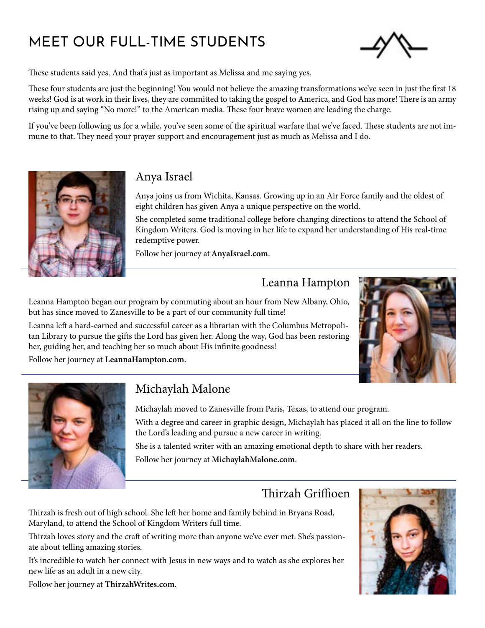# MEET OUR FULL-TIME STUDENTS



These students said yes. And that's just as important as Melissa and me saying yes.

These four students are just the beginning! You would not believe the amazing transformations we've seen in just the first 18 weeks! God is at work in their lives, they are committed to taking the gospel to America, and God has more! There is an army rising up and saying "No more!" to the American media. These four brave women are leading the charge.

If you've been following us for a while, you've seen some of the spiritual warfare that we've faced. These students are not immune to that. They need your prayer support and encouragement just as much as Melissa and I do.



#### Anya Israel

Anya joins us from Wichita, Kansas. Growing up in an Air Force family and the oldest of eight children has given Anya a unique perspective on the world.

She completed some traditional college before changing directions to attend the School of Kingdom Writers. God is moving in her life to expand her understanding of His real-time redemptive power.

Follow her journey at AnyaIsrael.com.

#### Leanna Hampton

Leanna Hampton began our program by commuting about an hour from New Albany, Ohio, but has since moved to Zanesville to be a part of our community full time!

Leanna left a hard-earned and successful career as a librarian with the Columbus Metropolitan Library to pursue the gifts the Lord has given her. Along the way, God has been restoring her, guiding her, and teaching her so much about His infinite goodness!



Follow her journey at LeannaHampton.com.



#### Michaylah Malone

Michaylah moved to Zanesville from Paris, Texas, to attend our program.

With a degree and career in graphic design, Michaylah has placed it all on the line to follow the Lord's leading and pursue a new career in writing.

She is a talented writer with an amazing emotional depth to share with her readers. Follow her journey at MichaylahMalone.com.

#### Thirzah Griffioen

Thirzah is fresh out of high school. She left her home and family behind in Bryans Road, Maryland, to attend the School of Kingdom Writers full time.

Thirzah loves story and the craft of writing more than anyone we've ever met. She's passionate about telling amazing stories.

It's incredible to watch her connect with Jesus in new ways and to watch as she explores her new life as an adult in a new city.



Follow her journey at ThirzahWrites.com.